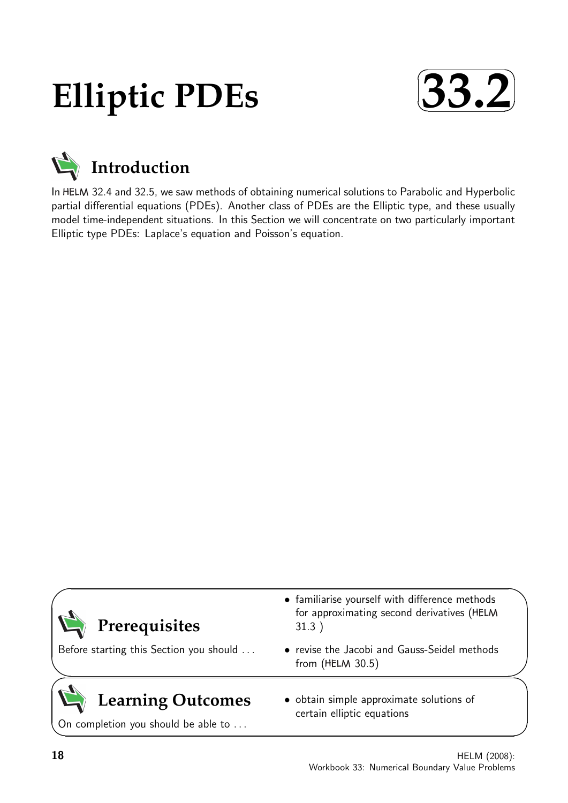# **Elliptic PDEs**





In HELM 32.4 and 32.5, we saw methods of obtaining numerical solutions to Parabolic and Hyperbolic partial differential equations (PDEs). Another class of PDEs are the Elliptic type, and these usually model time-independent situations. In this Section we will concentrate on two particularly important Elliptic type PDEs: Laplace's equation and Poisson's equation.

| Prerequisites                                                   | • familiarise yourself with difference methods<br>for approximating second derivatives (HELM<br>31.3) |  |
|-----------------------------------------------------------------|-------------------------------------------------------------------------------------------------------|--|
| Before starting this Section you should                         | • revise the Jacobi and Gauss-Seidel methods<br>from $(HELM 30.5)$                                    |  |
| <b>Learning Outcomes</b><br>On completion you should be able to | • obtain simple approximate solutions of<br>certain elliptic equations                                |  |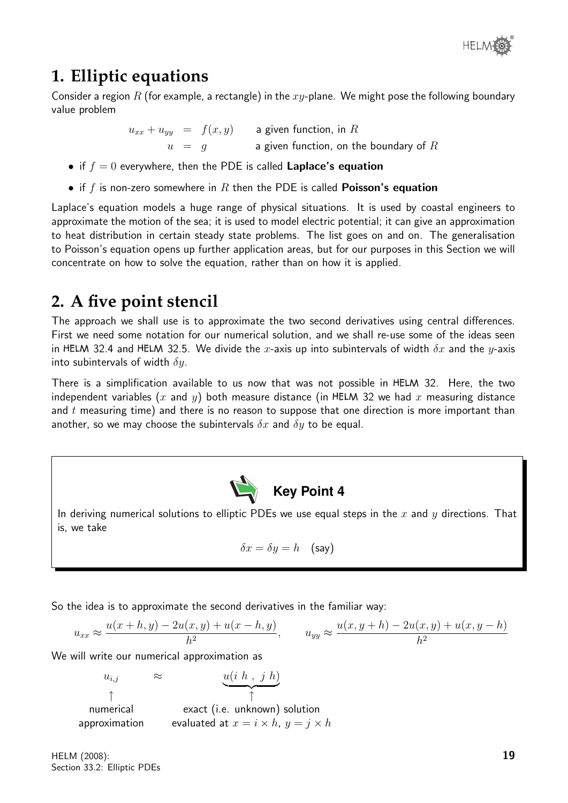

# **1. Elliptic equations**

Consider a region R (for example, a rectangle) in the  $xy$ -plane. We might pose the following boundary value problem

 $u_{xx} + u_{yy}$  =  $f(x,y)$  a given function, in  $R$ 

 $u = g$  a given function, on the boundary of  $R$ 

- if  $f = 0$  everywhere, then the PDE is called **Laplace's equation**
- if f is non-zero somewhere in R then the PDE is called **Poisson's equation**

Laplace's equation models a huge range of physical situations. It is used by coastal engineers to approximate the motion of the sea; it is used to model electric potential; it can give an approximation to heat distribution in certain steady state problems. The list goes on and on. The generalisation to Poisson's equation opens up further application areas, but for our purposes in this Section we will concentrate on how to solve the equation, rather than on how it is applied.

# **2. A five point stencil**

The approach we shall use is to approximate the two second derivatives using central differences. First we need some notation for our numerical solution, and we shall re-use some of the ideas seen in HELM 32.4 and HELM 32.5. We divide the x-axis up into subintervals of width  $\delta x$  and the y-axis into subintervals of width  $\delta y$ .

There is a simplification available to us now that was not possible in HELM 32. Here, the two independent variables (x and y) both measure distance (in HELM 32 we had x measuring distance and  $t$  measuring time) and there is no reason to suppose that one direction is more important than another, so we may choose the subintervals  $\delta x$  and  $\delta y$  to be equal.



In deriving numerical solutions to elliptic PDEs we use equal steps in the  $x$  and  $y$  directions. That is, we take

$$
\delta x = \delta y = h \quad \text{(say)}
$$

So the idea is to approximate the second derivatives in the familiar way:

$$
u_{xx} \approx \frac{u(x+h,y) - 2u(x,y) + u(x-h,y)}{h^2}, \qquad u_{yy} \approx \frac{u(x,y+h) - 2u(x,y) + u(x,y-h)}{h^2}
$$

We will write our numerical approximation as

$$
u_{i,j} \approx \underbrace{u(i \ h \ , \ j \ h)}_{\uparrow}
$$
\n
$$
\uparrow
$$
\nnumerical  
\napproximation  
\nevaluated at  $x = i \times h$ ,  $y = j \times h$ 

HELM (2008): Section 33.2: Elliptic PDEs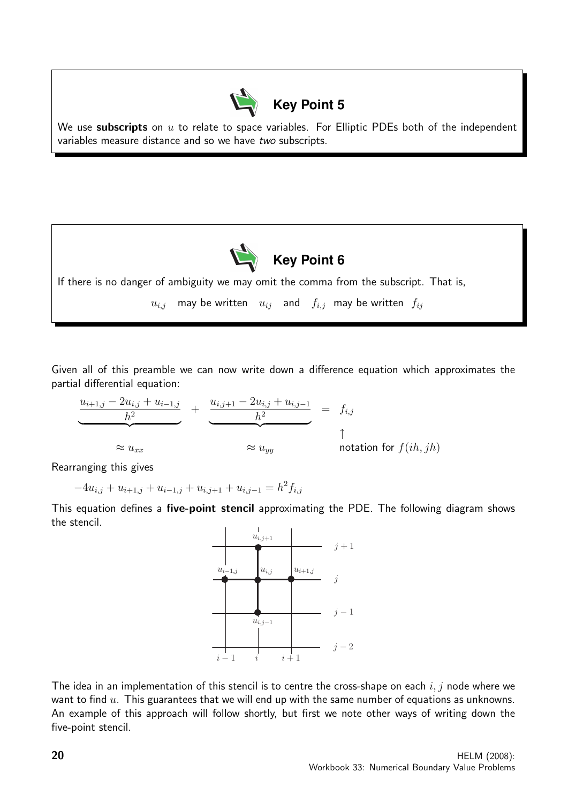

We use subscripts on  $u$  to relate to space variables. For Elliptic PDEs both of the independent variables measure distance and so we have two subscripts.



If there is no danger of ambiguity we may omit the comma from the subscript. That is,

 $u_{i,j}$  may be written  $u_{ij}$  and  $f_{i,j}$  may be written  $f_{ij}$ 

Given all of this preamble we can now write down a difference equation which approximates the partial differential equation:

$$
\underbrace{\underbrace{u_{i+1,j} - 2u_{i,j} + u_{i-1,j}}_{h^2}}_{\approx u_{xx}} + \underbrace{\underbrace{u_{i,j+1} - 2u_{i,j} + u_{i,j-1}}_{h^2}}_{\approx u_{yy}} = f_{i,j}
$$
\n
$$
\uparrow
$$
\n\n
$$
\uparrow
$$
\n\n
$$
\uparrow
$$
\n\n
$$
\uparrow
$$
\n\n
$$
\uparrow
$$
\n\n
$$
\uparrow
$$
\n\n
$$
\uparrow
$$
\n\n
$$
\uparrow
$$
\n\n
$$
\uparrow
$$
\n\n
$$
\uparrow
$$
\n\n
$$
\uparrow
$$
\n\n
$$
\uparrow
$$
\n\n
$$
\uparrow
$$
\n\n
$$
\uparrow
$$
\n\n
$$
\uparrow
$$
\n\n
$$
\uparrow
$$
\n\n
$$
\uparrow
$$
\n\n
$$
\uparrow
$$
\n\n
$$
\uparrow
$$
\n\n
$$
\uparrow
$$
\n\n
$$
\uparrow
$$
\n\n
$$
\uparrow
$$
\n\n
$$
\uparrow
$$
\n\n
$$
\uparrow
$$
\n\n
$$
\uparrow
$$
\n\n
$$
\uparrow
$$
\n\n
$$
\uparrow
$$
\n\n
$$
\uparrow
$$
\n\n
$$
\uparrow
$$
\n\n
$$
\uparrow
$$
\n\n
$$
\uparrow
$$
\n\n
$$
\uparrow
$$
\n\n
$$
\uparrow
$$
\n\n
$$
\uparrow
$$
\n\n
$$
\uparrow
$$
\n\n
$$
\uparrow
$$
\n\n
$$
\uparrow
$$
\n\n
$$
\uparrow
$$
\n\n
$$
\uparrow
$$
\n\n
$$
\uparrow
$$
\n\n
$$
\uparrow
$$
\n\n
$$
\uparrow
$$
\n\n
$$
\uparrow
$$
\n\n
$$
\uparrow
$$
\n\n
$$
\uparrow
$$
\n\n
$$
\uparrow
$$
\n\n
$$
\uparrow
$$
\n\n
$$
\uparrow
$$
\n\n
$$
\uparrow
$$
\n\n
$$
\uparrow
$$
\n\n
$$
\uparrow
$$
\n\n $$ 

Rearranging this gives

 $-4u_{i,j} + u_{i+1,j} + u_{i-1,j} + u_{i,j+1} + u_{i,j-1} = h^2 f_{i,j}$ 

This equation defines a five-point stencil approximating the PDE. The following diagram shows the stencil.



The idea in an implementation of this stencil is to centre the cross-shape on each  $i, j$  node where we want to find  $u$ . This guarantees that we will end up with the same number of equations as unknowns. An example of this approach will follow shortly, but first we note other ways of writing down the five-point stencil.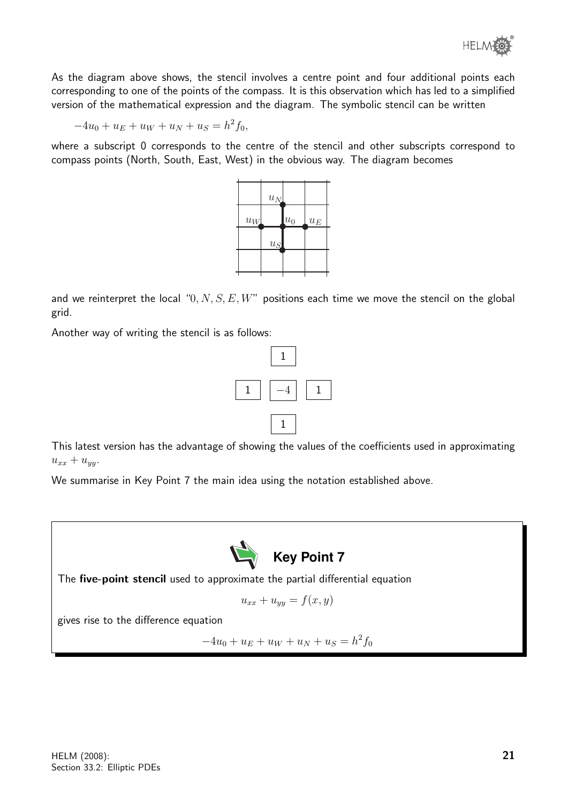

As the diagram above shows, the stencil involves a centre point and four additional points each corresponding to one of the points of the compass. It is this observation which has led to a simplified version of the mathematical expression and the diagram. The symbolic stencil can be written

$$
-4u_0 + u_E + u_W + u_N + u_S = h^2 f_0,
$$

where a subscript 0 corresponds to the centre of the stencil and other subscripts correspond to compass points (North, South, East, West) in the obvious way. The diagram becomes



and we reinterpret the local " $0, N, S, E, W$ " positions each time we move the stencil on the global grid.

Another way of writing the stencil is as follows:



This latest version has the advantage of showing the values of the coefficients used in approximating  $u_{xx} + u_{yy}$ .

We summarise in Key Point 7 the main idea using the notation established above.



The five-point stencil used to approximate the partial differential equation

$$
u_{xx} + u_{yy} = f(x, y)
$$

gives rise to the difference equation

 $-4u_0 + u_E + u_W + u_N + u_S = h^2 f_0$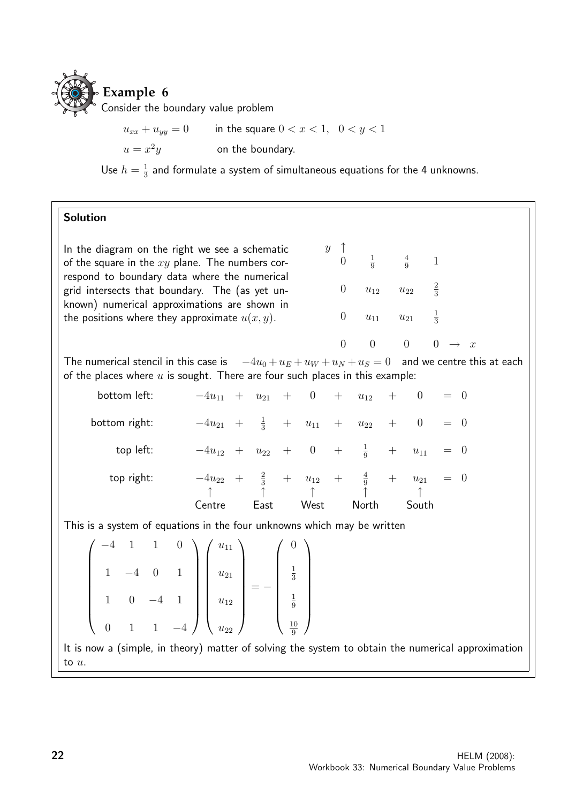

 $u_{xx} + u_{yy} = 0$  in the square  $0 < x < 1$ ,  $0 < y < 1$  $u=x^2$ on the boundary.

Use  $h=\frac{1}{3}$  $\frac{1}{3}$  and formulate a system of simultaneous equations for the 4 unknowns.

#### Solution

In the diagram on the right we see a schematic of the square in the  $xy$  plane. The numbers correspond to boundary data where the numerical grid intersects that boundary. The (as yet unknown) numerical approximations are shown in the positions where they approximate  $u(x, y)$ .

| 0                | $\mathbf 1$<br>$\overline{9}$ | $\frac{4}{9}$ |               |                     |
|------------------|-------------------------------|---------------|---------------|---------------------|
| $\boldsymbol{0}$ | $u_{12}$                      | $u_{22}$      | $\frac{2}{3}$ |                     |
| $\boldsymbol{0}$ | $u_{11}$                      | $u_{21}$      | $\frac{1}{3}$ |                     |
| 0                | 0                             | 0             | 0             | $\mathcal{X}% _{0}$ |

The numerical stencil in this case is  $-4u_0 + u_E + u_W + u_N + u_S = 0$  and we centre this at each of the places where  $u$  is sought. There are four such places in this example:

 $y \uparrow$ 

| bottom left:  | $-4u_{11} + u_{21} + 0 + u_{12}$                                   |      |      |       | $+$ | $\overline{0}$ | $=$ 0 |  |
|---------------|--------------------------------------------------------------------|------|------|-------|-----|----------------|-------|--|
| bottom right: | $-4u_{21} + \frac{1}{3} + u_{11} + u_{22}$                         |      |      |       |     | $+ 0$          | $= 0$ |  |
| top left:     | $-4u_{12} + u_{22} + 0 + \frac{1}{9} + u_{11}$                     |      |      |       |     |                | $= 0$ |  |
| top right:    | $-4u_{22} + \frac{2}{3} + u_{12} + \frac{4}{9} + u_{21}$<br>Centre | East | West | North |     | South          | $= 0$ |  |

This is a system of equations in the four unknowns which may be written

$$
\begin{pmatrix}\n-4 & 1 & 1 & 0 \\
1 & -4 & 0 & 1 \\
1 & 0 & -4 & 1 \\
0 & 1 & 1 & -4\n\end{pmatrix}\n\begin{pmatrix}\nu_{11} \\
u_{21} \\
u_{12} \\
u_{22}\n\end{pmatrix} = -\n\begin{pmatrix}\n0 \\
\frac{1}{3} \\
\frac{1}{9} \\
\frac{10}{9}\n\end{pmatrix}
$$

It is now a (simple, in theory) matter of solving the system to obtain the numerical approximation to u.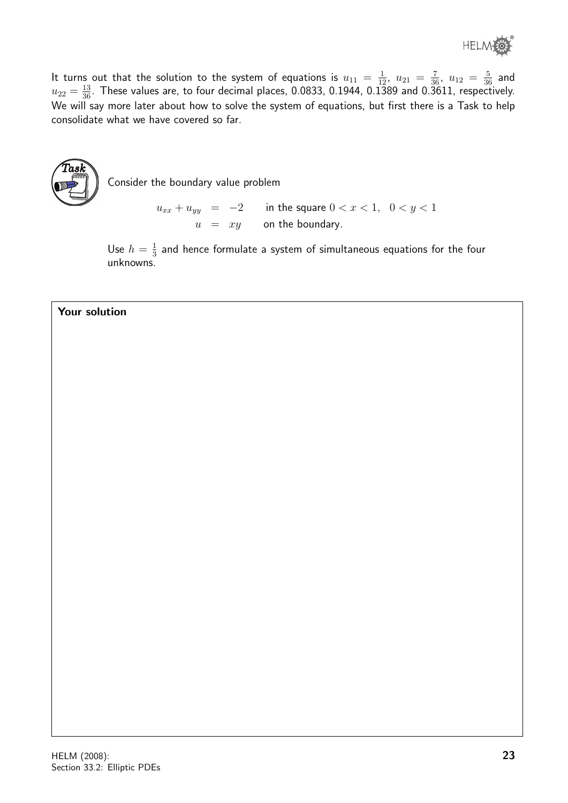It turns out that the solution to the system of equations is  $u_{11} = \frac{1}{12}$ ,  $u_{21} = \frac{7}{36}$ ,  $u_{12} = \frac{5}{36}$  and  $u_{22}=\frac{13}{36}.$  These values are, to four decimal places, 0.0833, 0.1944, 0.1389 and 0.3611, respectively. We will say more later about how to solve the system of equations, but first there is a Task to help consolidate what we have covered so far.



Consider the boundary value problem

 $u_{xx} + u_{yy} = -2$  in the square  $0 < x < 1, 0 < y < 1$  $u = xy$  on the boundary.

Use  $h=\frac{1}{3}$  $\frac{1}{3}$  and hence formulate a system of simultaneous equations for the four unknowns.

#### Your solution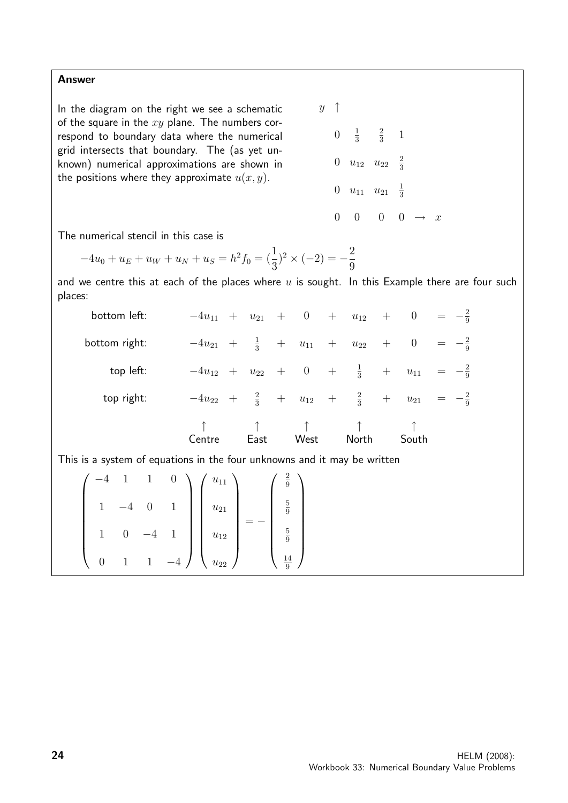Answer

In the diagram on the right we see a schematic of the square in the  $xy$  plane. The numbers correspond to boundary data where the numerical grid intersects that boundary. The (as yet unknown) numerical approximations are shown in the positions where they approximate  $u(x, y)$ .

 $y \uparrow$  $0 \frac{1}{3}$ 3 2  $rac{2}{3}$  1 0  $u_{12}$   $u_{22}$   $\frac{2}{3}$ 3 0  $u_{11}$   $u_{21}$   $\frac{1}{3}$ 3  $0 \t 0 \t 0 \t \to x$ 

The numerical stencil in this case is

 $-4u_0 + u_E + u_W + u_N + u_S = h^2 f_0 = \left(\frac{1}{3}\right)$  $\binom{2}{2} \times (-2) = -\frac{2}{2}$ 9

and we centre this at each of the places where  $u$  is sought. In this Example there are four such places:

| bottom left:  | $-4u_{11}$ + |     | $u_{21}$      | $+$              | $\overline{0}$ | $+$    | $u_{12}$      | $+$    | $\overline{0}$ |  |
|---------------|--------------|-----|---------------|------------------|----------------|--------|---------------|--------|----------------|--|
| bottom right: | $-4u_{21}$   | $+$ | $\frac{1}{3}$ | $^{+}$           | $u_{11}$       | $^{+}$ | $u_{22}$      | $^{+}$ | $\theta$       |  |
| top left:     | $-4u_{12}$   | $+$ | $u_{22}$      | $+$              | $\overline{0}$ | $+$    | $\frac{1}{3}$ | $+$    | $u_{11}$       |  |
| top right:    | $-4u_{22}$   | $+$ | $\frac{2}{3}$ | $\boldsymbol{+}$ | $u_{12}$       | $+$    | $\frac{2}{3}$ | $^{+}$ | $u_{21}$       |  |
|               | Centre       |     | East          |                  | West           |        | North         |        | South          |  |

This is a system of equations in the four unknowns and it may be written

| $1 \quad 1 \quad 0$                                                                                                                                                                                | $\big\backslash$ $\big\{ u_{11} \big\}$ | $rac{2}{9}$                            |
|----------------------------------------------------------------------------------------------------------------------------------------------------------------------------------------------------|-----------------------------------------|----------------------------------------|
|                                                                                                                                                                                                    |                                         | $rac{5}{9}$                            |
| $\left[\begin{array}{rrrr} 1 & 1 & 1 & 0 \\ 1 & -4 & 0 & 1 \\ 1 & 0 & -4 & 1 \\ 0 & 1 & 1 & 4 \end{array}\right] \left[\begin{array}{c} u_{11} \\ u_{21} \\ u_{12} \\ u_{12} \end{array}\right] =$ |                                         | $\begin{pmatrix} 5 \\ 9 \end{pmatrix}$ |
| $\begin{array}{c} 1 & 1 \\ 0 & 1 \end{array}$<br>$-4$                                                                                                                                              | $\sqrt{u_{22}}$                         | $rac{14}{9}$                           |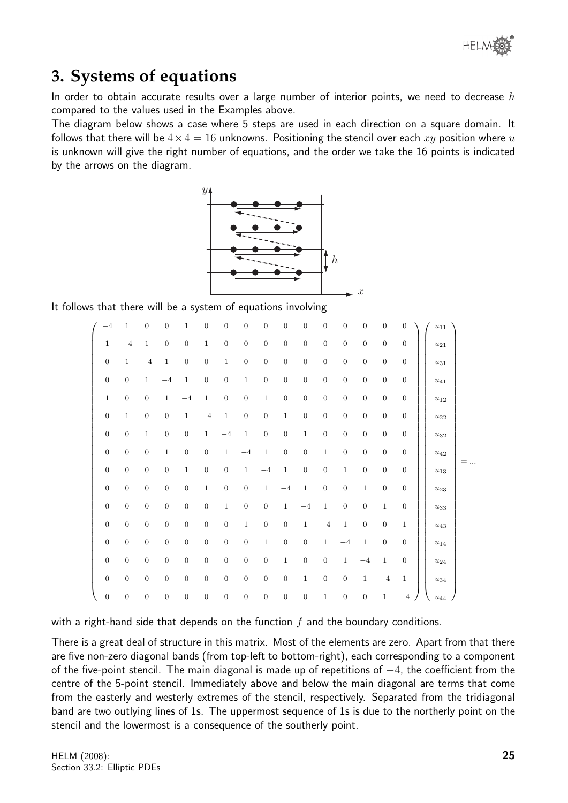

# **3. Systems of equations**

In order to obtain accurate results over a large number of interior points, we need to decrease  $h$ compared to the values used in the Examples above.

The diagram below shows a case where 5 steps are used in each direction on a square domain. It follows that there will be  $4 \times 4 = 16$  unknowns. Positioning the stencil over each xy position where u is unknown will give the right number of equations, and the order we take the 16 points is indicated by the arrows on the diagram.



It follows that there will be a system of equations involving

| $-4$             | $\mathbf{1}$     | $\boldsymbol{0}$ | $\boldsymbol{0}$ | $\,1\,$          | $\boldsymbol{0}$ | $\boldsymbol{0}$ | $\boldsymbol{0}$ | $\boldsymbol{0}$ | $\boldsymbol{0}$ | $\boldsymbol{0}$ | $\mathbf{0}$     | $\boldsymbol{0}$ | $\boldsymbol{0}$ | $\boldsymbol{0}$ | $\overline{0}$ | $u_{11}$              |  |
|------------------|------------------|------------------|------------------|------------------|------------------|------------------|------------------|------------------|------------------|------------------|------------------|------------------|------------------|------------------|----------------|-----------------------|--|
| $\,1$            | $-4$             | $\mathbf{1}$     | $\boldsymbol{0}$ | $\boldsymbol{0}$ | $\mathbf{1}$     | $\mathbf{0}$     | $\mathbf{0}$     | $\boldsymbol{0}$ | $\mathbf{0}$     | $\theta$         | $\mathbf{0}$     | $\mathbf{0}$     | $\boldsymbol{0}$ | $\boldsymbol{0}$ | $\mathbf{0}$   | $u_{21}$              |  |
| $\mathbf{0}$     | $\mathbf{1}$     | $-4$             | $1\,$            | $\boldsymbol{0}$ | $\boldsymbol{0}$ | $\mathbf{1}$     | $\boldsymbol{0}$ | $\boldsymbol{0}$ | $\mathbf{0}$     | $\mathbf{0}$     | $\mathbf{0}$     | $\boldsymbol{0}$ | $\boldsymbol{0}$ | $\boldsymbol{0}$ | $\mathbf{0}$   | $u_{31}$              |  |
| $\mathbf{0}$     | $\mathbf{0}$     | $\mathbf{1}$     | $-4$             | $\,1\,$          | 0                | $\mathbf{0}$     | $\mathbf{1}$     | $\overline{0}$   | $\mathbf{0}$     | $\mathbf{0}$     | $\mathbf{0}$     | $\mathbf{0}$     | $\boldsymbol{0}$ | $\boldsymbol{0}$ | $\overline{0}$ | $u_{41}$              |  |
| $\mathbf{1}$     | $\overline{0}$   | $\mathbf{0}$     | $\mathbf{1}$     | $-4$             | $\mathbf{1}$     | $\boldsymbol{0}$ | $\boldsymbol{0}$ | $\,1\,$          | $\overline{0}$   | $\boldsymbol{0}$ | $\mathbf{0}$     | $\boldsymbol{0}$ | $\boldsymbol{0}$ | $\boldsymbol{0}$ | $\overline{0}$ | $u_{12}$              |  |
| $\boldsymbol{0}$ | $\mathbf{1}$     | $\boldsymbol{0}$ | $\boldsymbol{0}$ | $\mathbf{1}$     | $-4$             | $\mathbf{1}$     | $\boldsymbol{0}$ | $\boldsymbol{0}$ | $\,1\,$          | $\boldsymbol{0}$ | $\boldsymbol{0}$ | $\boldsymbol{0}$ | $\boldsymbol{0}$ | $\boldsymbol{0}$ | $\mathbf{0}$   | $u_{22}$              |  |
| $\mathbf{0}$     | $\boldsymbol{0}$ | $\mathbf{1}$     | $\boldsymbol{0}$ | $\boldsymbol{0}$ | $\mathbf{1}$     | $-4$             | $\mathbf{1}$     | $\overline{0}$   | $\mathbf{0}$     | $\mathbf{1}$     | $\mathbf{0}$     | $\mathbf{0}$     | $\boldsymbol{0}$ | $\boldsymbol{0}$ | $\mathbf{0}$   | $u_{32}$              |  |
| $\mathbf{0}$     | $\boldsymbol{0}$ | $\boldsymbol{0}$ | $1\,$            | $\boldsymbol{0}$ | $\overline{0}$   | $\mathbf{1}$     | $-4$             | $\,1\,$          | $\overline{0}$   | $\overline{0}$   | $\,1$            | $\boldsymbol{0}$ | $\overline{0}$   | $\boldsymbol{0}$ | $\mathbf{0}$   | $u_{42}$              |  |
| $\boldsymbol{0}$ | $\boldsymbol{0}$ | $\boldsymbol{0}$ | $\boldsymbol{0}$ | $\,1\,$          | $\boldsymbol{0}$ | $\boldsymbol{0}$ | $\,1$            | $-4$             | $\,1$            | $\boldsymbol{0}$ | $\boldsymbol{0}$ | $\,1\,$          | $\boldsymbol{0}$ | $\boldsymbol{0}$ | $\mathbf{0}$   | $u_{13}$              |  |
| $\boldsymbol{0}$ | $\boldsymbol{0}$ | $\mathbf{0}$     | $\boldsymbol{0}$ | $\boldsymbol{0}$ | $\mathbf{1}$     | $\boldsymbol{0}$ | $\boldsymbol{0}$ | $\,1$            | $-4$             | $\mathbf{1}$     | $\mathbf{0}$     | $\boldsymbol{0}$ | $\,1$            | $\boldsymbol{0}$ | $\overline{0}$ | $u_{23}$              |  |
| $\mathbf{0}$     | $\boldsymbol{0}$ | $\mathbf{0}$     | $\boldsymbol{0}$ | $\boldsymbol{0}$ | $\boldsymbol{0}$ | $\mathbf{1}$     | $\boldsymbol{0}$ | $\boldsymbol{0}$ | $\mathbf{1}$     | $-4$             | $\,1$            | $\boldsymbol{0}$ | $\boldsymbol{0}$ | $\mathbf{1}$     | $\mathbf{0}$   | $\boldsymbol{u_{33}}$ |  |
| $\overline{0}$   | $\overline{0}$   | $\mathbf{0}$     | $\boldsymbol{0}$ | $\boldsymbol{0}$ | $\boldsymbol{0}$ | $\boldsymbol{0}$ | $\mathbf{1}$     | $\boldsymbol{0}$ | $\boldsymbol{0}$ | $\mathbf{1}$     | $-4$             | $\mathbf{1}$     | $\boldsymbol{0}$ | $\boldsymbol{0}$ | $\mathbf{1}$   | $u_{43}$              |  |
| $\mathbf{0}$     | $\boldsymbol{0}$ | $\mathbf{0}$     | $\boldsymbol{0}$ | $\boldsymbol{0}$ | $\boldsymbol{0}$ | $\mathbf{0}$     | $\boldsymbol{0}$ | $\,1\,$          | $\mathbf{0}$     | $\boldsymbol{0}$ | $\mathbf{1}$     | $-4$             | $\,1\,$          | $\boldsymbol{0}$ | $\overline{0}$ | $u_{14}$              |  |
| $\mathbf{0}$     | $\boldsymbol{0}$ | $\mathbf{0}$     | $\boldsymbol{0}$ | $\boldsymbol{0}$ | $\boldsymbol{0}$ | $\boldsymbol{0}$ | $\boldsymbol{0}$ | $\boldsymbol{0}$ | $\,1$            | $\mathbf{0}$     | $\boldsymbol{0}$ | 1                | $-4$             | $\,1$            | $\mathbf{0}$   | $u_{24}$              |  |
| $\overline{0}$   | $\theta$         | $\overline{0}$   | $\mathbf{0}$     | $\boldsymbol{0}$ | $\boldsymbol{0}$ | $\mathbf{0}$     | $\mathbf{0}$     | $\boldsymbol{0}$ | $\mathbf{0}$     | $\mathbf{1}$     | $\boldsymbol{0}$ | $\overline{0}$   | $\mathbf{1}$     | $-4$             | $\mathbf{1}$   | $u_{34}$              |  |
| $\boldsymbol{0}$ | $\boldsymbol{0}$ | $\boldsymbol{0}$ | $\boldsymbol{0}$ | $\boldsymbol{0}$ | $\boldsymbol{0}$ | $\boldsymbol{0}$ | $\boldsymbol{0}$ | $\boldsymbol{0}$ | $\overline{0}$   | $\boldsymbol{0}$ | $\,1$            | $\boldsymbol{0}$ | $\boldsymbol{0}$ | $\mathbf{1}$     | $-4$           | $u_{44}$              |  |

with a right-hand side that depends on the function  $f$  and the boundary conditions.

There is a great deal of structure in this matrix. Most of the elements are zero. Apart from that there are five non-zero diagonal bands (from top-left to bottom-right), each corresponding to a component of the five-point stencil. The main diagonal is made up of repetitions of  $-4$ , the coefficient from the centre of the 5-point stencil. Immediately above and below the main diagonal are terms that come from the easterly and westerly extremes of the stencil, respectively. Separated from the tridiagonal band are two outlying lines of 1s. The uppermost sequence of 1s is due to the northerly point on the stencil and the lowermost is a consequence of the southerly point.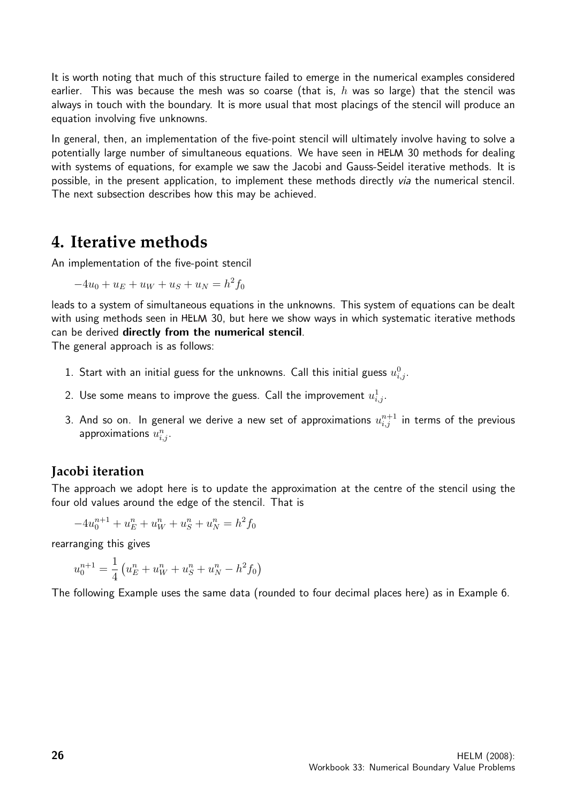It is worth noting that much of this structure failed to emerge in the numerical examples considered earlier. This was because the mesh was so coarse (that is,  $h$  was so large) that the stencil was always in touch with the boundary. It is more usual that most placings of the stencil will produce an equation involving five unknowns.

In general, then, an implementation of the five-point stencil will ultimately involve having to solve a potentially large number of simultaneous equations. We have seen in HELM 30 methods for dealing with systems of equations, for example we saw the Jacobi and Gauss-Seidel iterative methods. It is possible, in the present application, to implement these methods directly via the numerical stencil. The next subsection describes how this may be achieved.

# **4. Iterative methods**

An implementation of the five-point stencil

$$
-4u_0 + u_E + u_W + u_S + u_N = h^2 f_0
$$

leads to a system of simultaneous equations in the unknowns. This system of equations can be dealt with using methods seen in HELM 30, but here we show ways in which systematic iterative methods can be derived directly from the numerical stencil.

The general approach is as follows:

- 1. Start with an initial guess for the unknowns. Call this initial guess  $u_{i,j}^0$ .
- 2. Use some means to improve the guess. Call the improvement  $u^1_{i,j}.$
- 3. And so on. In general we derive a new set of approximations  $u^{n+1}_{i,j}$  in terms of the previous approximations  $u_{i,j}^n$ .

## **Jacobi iteration**

The approach we adopt here is to update the approximation at the centre of the stencil using the four old values around the edge of the stencil. That is

$$
-4u_0^{n+1} + u_E^n + u_W^n + u_S^n + u_N^n = h^2 f_0
$$

rearranging this gives

$$
u_0^{n+1} = \frac{1}{4} \left( u_E^n + u_W^n + u_S^n + u_N^n - h^2 f_0 \right)
$$

The following Example uses the same data (rounded to four decimal places here) as in Example 6.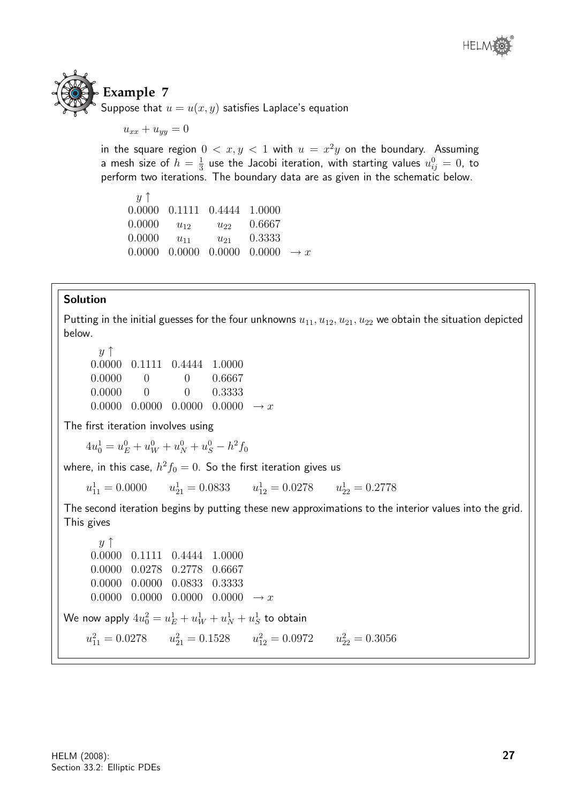

 $u_{xx} + u_{yy} = 0$ 

in the square region  $0 < x, y < 1$  with  $u = x^2y$  on the boundary. Assuming a mesh size of  $h = \frac{1}{3}$  $\frac{1}{3}$  use the Jacobi iteration, with starting values  $u_{ij}^0=0$ , to perform two iterations. The boundary data are as given in the schematic below.

| $y \uparrow$ |          |                                                                     |        |  |
|--------------|----------|---------------------------------------------------------------------|--------|--|
|              |          | 0.0000  0.1111  0.4444  1.0000                                      |        |  |
| 0.0000       | $u_{12}$ | $u_{22}$                                                            | 0.6667 |  |
| 0.0000       | $u_{11}$ | $u_{21}$                                                            | 0.3333 |  |
|              |          | $0.0000 \quad 0.0000 \quad 0.0000 \quad 0.0000 \quad \rightarrow x$ |        |  |

#### Solution

Putting in the initial guesses for the four unknowns  $u_{11}, u_{12}, u_{21}, u_{22}$  we obtain the situation depicted below.

 $y \uparrow$ 0.0000 0.1111 0.4444 1.0000 0.0000 0 0 0.6667 0.0000 0 0 0.3333 0.0000 0.0000 0.0000  $\rightarrow x$ 

The first iteration involves using

 $4u_0^1 = u_E^0 + u_W^0 + u_N^0 + u_S^0 - h^2 f_0$ 

where, in this case,  $h^2f_0=0.$  So the first iteration gives us

 $u_{11}^1 = 0.0000$   $u_{21}^1 = 0.0833$   $u_{12}^1 = 0.0278$   $u_{22}^1 = 0.2778$ 

The second iteration begins by putting these new approximations to the interior values into the grid. This gives

 $y \uparrow$ 0.0000 0.1111 0.4444 1.0000 0.0000 0.0278 0.2778 0.6667 0.0000 0.0000 0.0833 0.3333 0.0000 0.0000 0.0000  $\rightarrow x$ We now apply  $4u_0^2=u_E^1+u_W^1+u_N^1+u_S^1$  to obtain  $u_{11}^2 = 0.0278$   $u_{21}^2 = 0.1528$   $u_{12}^2 = 0.0972$   $u_{22}^2 = 0.3056$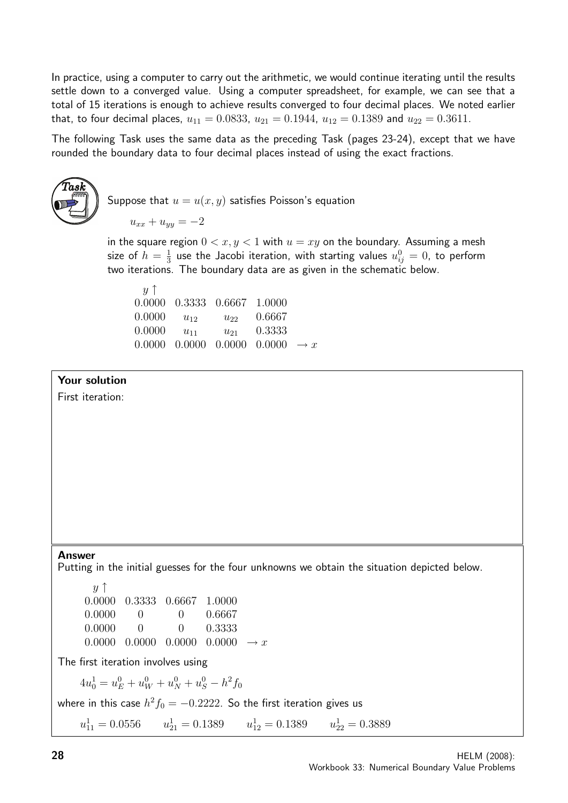In practice, using a computer to carry out the arithmetic, we would continue iterating until the results settle down to a converged value. Using a computer spreadsheet, for example, we can see that a total of 15 iterations is enough to achieve results converged to four decimal places. We noted earlier that, to four decimal places,  $u_{11} = 0.0833$ ,  $u_{21} = 0.1944$ ,  $u_{12} = 0.1389$  and  $u_{22} = 0.3611$ .

The following Task uses the same data as the preceding Task (pages 23-24), except that we have rounded the boundary data to four decimal places instead of using the exact fractions.



Suppose that  $u = u(x, y)$  satisfies Poisson's equation

 $u_{xx} + u_{yy} = -2$ 

in the square region  $0 < x, y < 1$  with  $u = xy$  on the boundary. Assuming a mesh size of  $h=\frac{1}{3}$  $\frac{1}{3}$  use the Jacobi iteration, with starting values  $u_{ij}^0=0$ , to perform two iterations. The boundary data are as given in the schematic below.

| $\boldsymbol{u}$ T |          |                                                                     |        |  |
|--------------------|----------|---------------------------------------------------------------------|--------|--|
|                    |          | 0.0000 0.3333 0.6667 1.0000                                         |        |  |
| 0.0000             | $u_{12}$ | $u_{22}$                                                            | 0.6667 |  |
| 0.0000             | $u_{11}$ | $u_{21}$                                                            | 0.3333 |  |
|                    |          | $0.0000 \quad 0.0000 \quad 0.0000 \quad 0.0000 \quad \rightarrow x$ |        |  |

#### Your solution

First iteration:

#### Answer

Putting in the initial guesses for the four unknowns we obtain the situation depicted below.

 $y \uparrow$ 0.0000 0.3333 0.6667 1.0000 0.0000 0 0 0.6667 0.0000 0 0 0.3333  $0.0000 \quad 0.0000 \quad 0.0000 \quad 0.0000 \rightarrow x$ 

The first iteration involves using

 $4u_0^1 = u_E^0 + u_W^0 + u_N^0 + u_S^0 - h^2 f_0$ 

where in this case  $h^2f_0=-0.2222.$  So the first iteration gives us

 $u_{11}^1 = 0.0556$   $u_{21}^1 = 0.1389$   $u_{12}^1 = 0.1389$   $u_{22}^1 = 0.3889$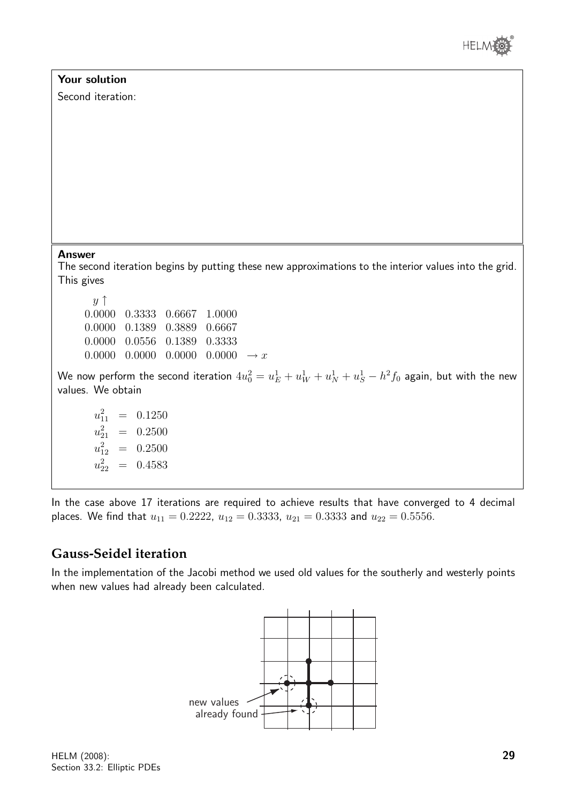



In the case above 17 iterations are required to achieve results that have converged to 4 decimal places. We find that  $u_{11} = 0.2222$ ,  $u_{12} = 0.3333$ ,  $u_{21} = 0.3333$  and  $u_{22} = 0.5556$ .

## **Gauss-Seidel iteration**

In the implementation of the Jacobi method we used old values for the southerly and westerly points when new values had already been calculated.

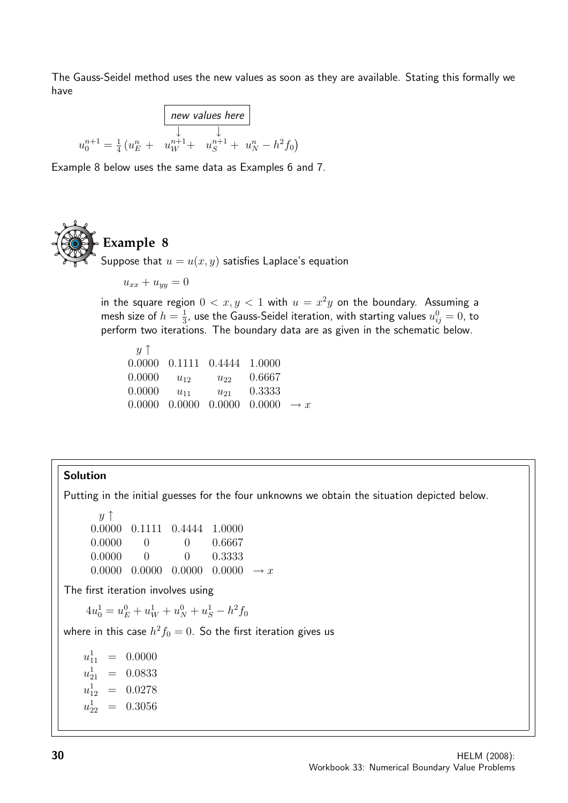The Gauss-Seidel method uses the new values as soon as they are available. Stating this formally we have

$$
u_0^{n+1} = \frac{1}{4} \left( u_E^n + u_W^{n+1} + u_S^{n+1} + u_N^n - h^2 f_0 \right)
$$

Example 8 below uses the same data as Examples 6 and 7.



Suppose that  $u = u(x, y)$  satisfies Laplace's equation

 $u_{xx} + u_{yy} = 0$ 

in the square region  $0 < x, y < 1$  with  $u = x^2y$  on the boundary. Assuming a mesh size of  $h = \frac{1}{3}$  $\frac{1}{3}$ , use the Gauss-Seidel iteration, with starting values  $u_{ij}^0=0$ , to perform two iterations. The boundary data are as given in the schematic below.

 $y \uparrow$ 0.0000 0.1111 0.4444 1.0000 0.0000  $u_{12}$   $u_{22}$  0.6667 0.0000  $u_{11}$   $u_{21}$  0.3333 0.0000 0.0000 0.0000  $\rightarrow x$ 

#### Solution

Putting in the initial guesses for the four unknowns we obtain the situation depicted below.

 $y \uparrow$ 0.0000 0.1111 0.4444 1.0000 0.0000 0 0.6667 0.0000 0 0 0.3333 0.0000 0.0000 0.0000  $\rightarrow x$ 

The first iteration involves using

 $4u_0^1 = u_E^0 + u_W^1 + u_N^0 + u_S^1 - h^2 f_0$ 

where in this case  $h^2f_0=0.$  So the first iteration gives us

 $u_{11}^1$  = 0.0000  $u_{21}^1$  = 0.0833  $u_{12}^1$  = 0.0278 u 1  $= 0.3056$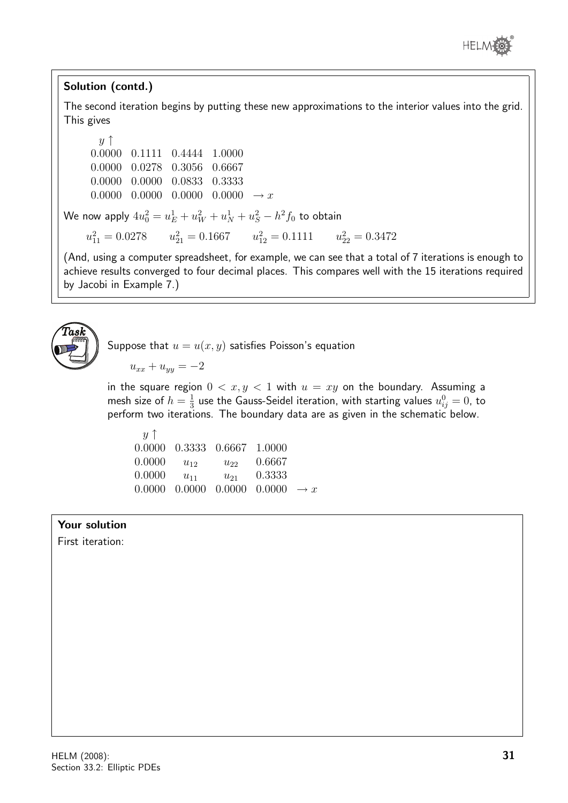

### Solution (contd.)

The second iteration begins by putting these new approximations to the interior values into the grid. This gives

 $y \uparrow$ 0.0000 0.1111 0.4444 1.0000 0.0000 0.0278 0.3056 0.6667 0.0000 0.0000 0.0833 0.3333  $0.0000 \quad 0.0000 \quad 0.0000 \quad 0.0000 \rightarrow x$ We now apply  $4u_0^2=u_E^1+u_W^2+u_N^1+u_S^2-h^2f_0$  to obtain  $u_{11}^2 = 0.0278$   $u_{21}^2 = 0.1667$   $u_{12}^2 = 0.1111$   $u_{22}^2 = 0.3472$ (And, using a computer spreadsheet, for example, we can see that a total of 7 iterations is enough to achieve results converged to four decimal places. This compares well with the 15 iterations required by Jacobi in Example 7.)



Suppose that  $u = u(x, y)$  satisfies Poisson's equation

$$
u_{xx} + u_{yy} = -2
$$

in the square region  $0 < x, y < 1$  with  $u = xy$  on the boundary. Assuming a mesh size of  $h = \frac{1}{3}$  $\frac{1}{3}$  use the Gauss-Seidel iteration, with starting values  $u_{ij}^0=0$ , to perform two iterations. The boundary data are as given in the schematic below.

| $\boldsymbol{u}$ T |          |                                                                     |        |  |
|--------------------|----------|---------------------------------------------------------------------|--------|--|
|                    |          | 0.0000 0.3333 0.6667 1.0000                                         |        |  |
| 0.0000             | $u_{12}$ | $u_{22}$                                                            | 0.6667 |  |
| 0.0000             | $u_{11}$ | $u_{21}$                                                            | 0.3333 |  |
|                    |          | $0.0000 \quad 0.0000 \quad 0.0000 \quad 0.0000 \quad \rightarrow x$ |        |  |

#### Your solution

First iteration: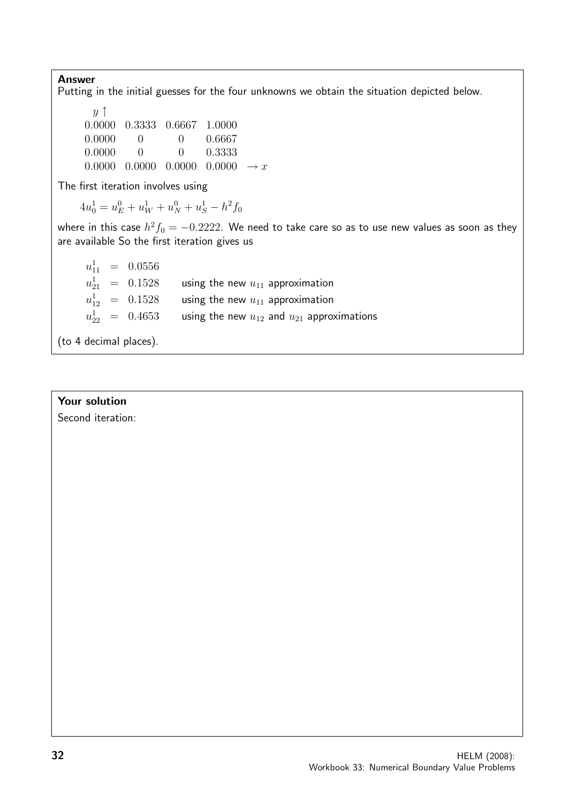Answer Putting in the initial guesses for the four unknowns we obtain the situation depicted below.  $y \uparrow$ 0.0000 0.3333 0.6667 1.0000 0.0000 0 0 0.6667 0.0000 0 0 0.3333 0.0000 0.0000 0.0000  $\rightarrow x$ The first iteration involves using  $4u_0^1 = u_E^0 + u_W^1 + u_N^0 + u_S^1 - h^2 f_0$ where in this case  $h^2f_0=-0.2222.$  We need to take care so as to use new values as soon as they are available So the first iteration gives us  $u_{11}^1$  = 0.0556  $u_{21}^1$  =  $0.1528$  using the new  $u_{11}$  approximation  $u_{12}^1 \;\; = \;\; 0.1528 \qquad$  using the new  $u_{11}$  approximation  $u_{22}^1 \;\; = \;\; 0.4653 \qquad$  using the new  $u_{12}$  and  $u_{21}$  approximations

(to 4 decimal places).

#### Your solution

Second iteration: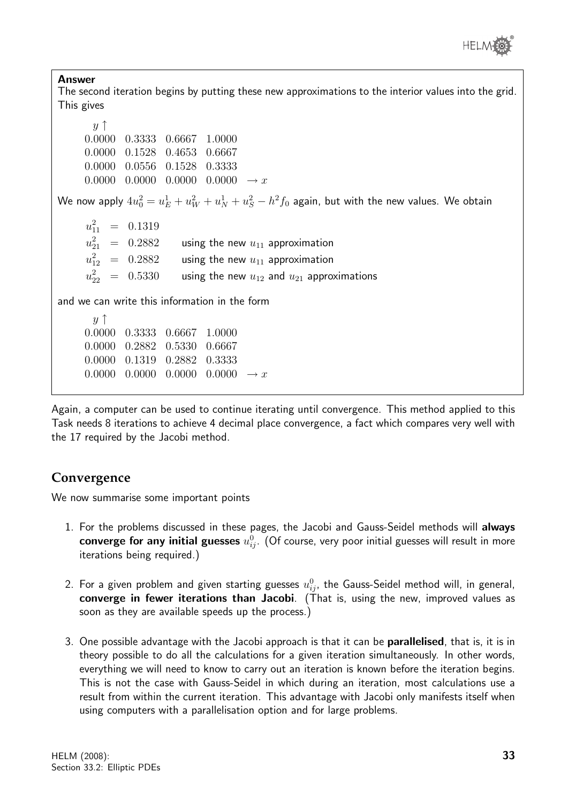

Answer The second iteration begins by putting these new approximations to the interior values into the grid. This gives  $y \uparrow$ 0.0000 0.3333 0.6667 1.0000 0.0000 0.1528 0.4653 0.6667 0.0000 0.0556 0.1528 0.3333  $0.0000 \quad 0.0000 \quad 0.0000 \quad 0.0000 \rightarrow x$ We now apply  $4u_0^2=u_E^1+u_W^2+u_N^1+u_S^2-h^2f_0$  again, but with the new values. We obtain  $u_1^2$  $\frac{2}{11}$  = 0.1319  $u_{21}^2$  = 0.2882 using the new  $u_{11}$  approximation  $u_{12}^2$  = 0.2882 using the new  $u_{11}$  approximation  $u_{22}^2~=~0.5330~$  using the new  $u_{12}$  and  $u_{21}$  approximations and we can write this information in the form  $y \uparrow$ 0.0000 0.3333 0.6667 1.0000 0.0000 0.2882 0.5330 0.6667 0.0000 0.1319 0.2882 0.3333  $0.0000 \quad 0.0000 \quad 0.0000 \quad 0.0000 \rightarrow x$ Again, a computer can be used to continue iterating until convergence. This method applied to this

Task needs 8 iterations to achieve 4 decimal place convergence, a fact which compares very well with the 17 required by the Jacobi method.

## **Convergence**

We now summarise some important points

- 1. For the problems discussed in these pages, the Jacobi and Gauss-Seidel methods will always  $\mathop{\mathsf{converge}}$  for any initial guesses  $u_{ij}^0.$  (Of course, very poor initial guesses will result in more iterations being required.)
- 2. For a given problem and given starting guesses  $u_{ij}^0$ , the Gauss-Seidel method will, in general, converge in fewer iterations than Jacobi. (That is, using the new, improved values as soon as they are available speeds up the process.)
- 3. One possible advantage with the Jacobi approach is that it can be parallelised, that is, it is in theory possible to do all the calculations for a given iteration simultaneously. In other words, everything we will need to know to carry out an iteration is known before the iteration begins. This is not the case with Gauss-Seidel in which during an iteration, most calculations use a result from within the current iteration. This advantage with Jacobi only manifests itself when using computers with a parallelisation option and for large problems.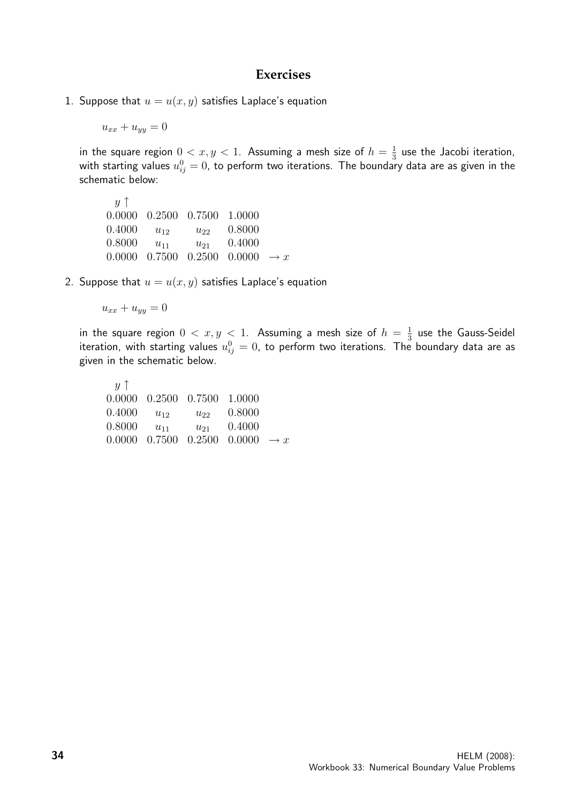#### **Exercises**

1. Suppose that  $u = u(x, y)$  satisfies Laplace's equation

 $u_{xx} + u_{yy} = 0$ 

in the square region  $0 < x, y < 1$ . Assuming a mesh size of  $h = \frac{1}{3}$  $\frac{1}{3}$  use the Jacobi iteration, with starting values  $u_{ij}^0=0$ , to perform two iterations. The boundary data are as given in the schematic below:

 $y \uparrow$ 0.0000 0.2500 0.7500 1.0000  $0.4000 \quad u_{12} \quad u_{22} \quad 0.8000$ 0.8000  $u_{11}$   $u_{21}$  0.4000 0.0000 0.7500 0.2500 0.0000  $\rightarrow x$ 

2. Suppose that  $u = u(x, y)$  satisfies Laplace's equation

$$
u_{xx} + u_{yy} = 0
$$

in the square region  $0 < x, y < 1$ . Assuming a mesh size of  $h = \frac{1}{3}$  $\frac{1}{3}$  use the Gauss-Seidel iteration, with starting values  $u_{ij}^0=0$ , to perform two iterations. The boundary data are as given in the schematic below.

 $y \uparrow$ 0.0000 0.2500 0.7500 1.0000 0.4000  $u_{12}$   $u_{22}$  0.8000 0.8000  $u_{11}$   $u_{21}$  0.4000 0.0000 0.7500 0.2500 0.0000  $\rightarrow x$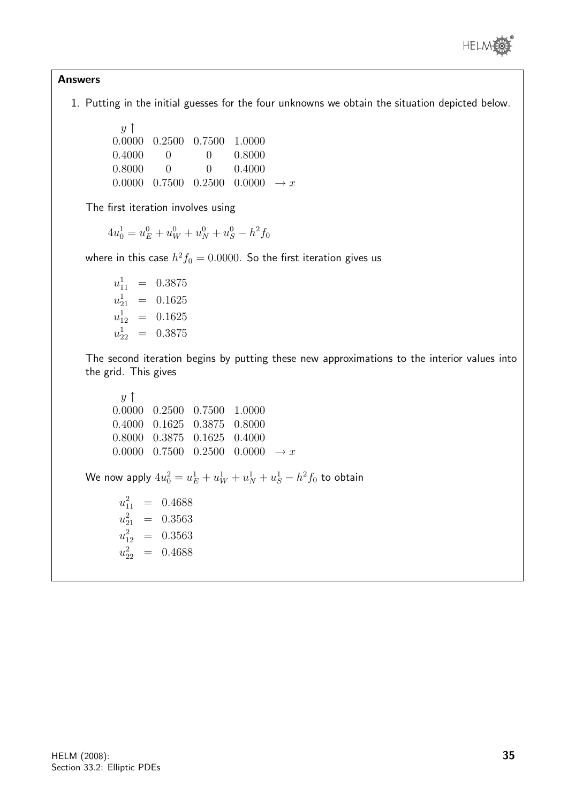

#### Answers

1. Putting in the initial guesses for the four unknowns we obtain the situation depicted below.

 $y \uparrow$ 0.0000 0.2500 0.7500 1.0000 0.4000 0 0 0.8000 0.8000 0 0 0.4000 0.0000 0.7500 0.2500 0.0000  $\rightarrow x$ 

The first iteration involves using

$$
4u_0^1 = u_E^0 + u_W^0 + u_N^0 + u_S^0 - h^2 f_0
$$

where in this case  $h^2f_0=0.0000$ . So the first iteration gives us

 $u_{11}^1$  = 0.3875  $u_{21}^1$  = 0.1625  $u_{12}^1$  = 0.1625  $u_{22}^1$  = 0.3875

The second iteration begins by putting these new approximations to the interior values into the grid. This gives

```
y \uparrow0.0000 0.2500 0.7500 1.0000
     0.4000 0.1625 0.3875 0.8000
     0.8000 0.3875 0.1625 0.4000
     0.0000 0.7500 0.2500 0.0000 \rightarrow xWe now apply 4u_0^2=u_E^1+u_W^1+u_N^1+u_S^1-h^2f_0 to obtain
       u_{11}^2 = 0.4688
       u_{21}^2 = 0.3563
       u_{12}^2 = 0.3563
       u_{22}^2 = 0.4688
```